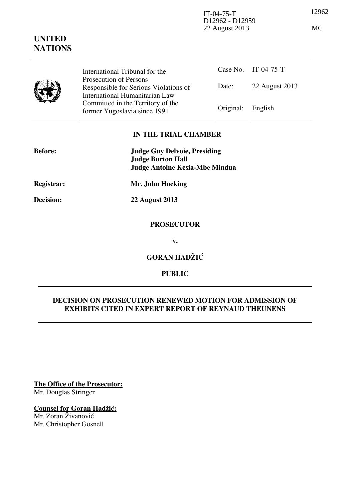12962 IT-04-75-T D12962 - D12959 22 August 2013 MC

|  | International Tribunal for the                                                                      |                   | Case No. $11-(14-75-1)$ |
|--|-----------------------------------------------------------------------------------------------------|-------------------|-------------------------|
|  | Prosecution of Persons<br>Responsible for Serious Violations of                                     | Date:             | 22 August 2013          |
|  | International Humanitarian Law<br>Committed in the Territory of the<br>former Yugoslavia since 1991 | Original: English |                         |

# **IN THE TRIAL CHAMBER**

| <b>Before:</b>   | <b>Judge Guy Delvoie, Presiding</b><br><b>Judge Burton Hall</b><br><b>Judge Antoine Kesia-Mbe Mindua</b> |  |
|------------------|----------------------------------------------------------------------------------------------------------|--|
| Registrar:       | Mr. John Hocking                                                                                         |  |
| <b>Decision:</b> | <b>22 August 2013</b>                                                                                    |  |
|                  | <b>PROSECUTOR</b>                                                                                        |  |

**v.** 

**GORAN HADŽIĆ** 

# **PUBLIC**

# **DECISION ON PROSECUTION RENEWED MOTION FOR ADMISSION OF EXHIBITS CITED IN EXPERT REPORT OF REYNAUD THEUNENS**

**The Office of the Prosecutor:** Mr. Douglas Stringer

# **Counsel for Goran Hadžić:**

Mr. Zoran Živanović Mr. Christopher Gosnell



 $C_{0.98}$  N<sub>o</sub> IT 04.75 T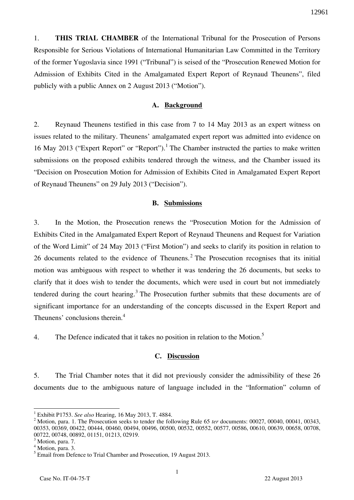1. **THIS TRIAL CHAMBER** of the International Tribunal for the Prosecution of Persons Responsible for Serious Violations of International Humanitarian Law Committed in the Territory of the former Yugoslavia since 1991 ("Tribunal") is seised of the "Prosecution Renewed Motion for Admission of Exhibits Cited in the Amalgamated Expert Report of Reynaud Theunens", filed publicly with a public Annex on 2 August 2013 ("Motion").

### **A. Background**

2. Reynaud Theunens testified in this case from 7 to 14 May 2013 as an expert witness on issues related to the military. Theunens' amalgamated expert report was admitted into evidence on 16 May 2013 ("Expert Report" or "Report").<sup>1</sup> The Chamber instructed the parties to make written submissions on the proposed exhibits tendered through the witness, and the Chamber issued its "Decision on Prosecution Motion for Admission of Exhibits Cited in Amalgamated Expert Report of Reynaud Theunens" on 29 July 2013 ("Decision").

#### **B. Submissions**

3. In the Motion, the Prosecution renews the "Prosecution Motion for the Admission of Exhibits Cited in the Amalgamated Expert Report of Reynaud Theunens and Request for Variation of the Word Limit" of 24 May 2013 ("First Motion") and seeks to clarify its position in relation to 26 documents related to the evidence of Theunens.<sup>2</sup> The Prosecution recognises that its initial motion was ambiguous with respect to whether it was tendering the 26 documents, but seeks to clarify that it does wish to tender the documents, which were used in court but not immediately tendered during the court hearing.<sup>3</sup> The Prosecution further submits that these documents are of significant importance for an understanding of the concepts discussed in the Expert Report and Theunens' conclusions therein.<sup>4</sup>

4. The Defence indicated that it takes no position in relation to the Motion.<sup>5</sup>

## **C. Discussion**

5. The Trial Chamber notes that it did not previously consider the admissibility of these 26 documents due to the ambiguous nature of language included in the "Information" column of

 1 Exhibit P1753. *See also* Hearing, 16 May 2013, T. 4884.

<sup>&</sup>lt;sup>2</sup> Motion, para. 1. The Prosecution seeks to tender the following Rule 65 *ter* documents: 00027, 00040, 00041, 00343, 00353, 00369, 00422, 00444, 00460, 00494, 00496, 00500, 00532, 00552, 00577, 00586, 00610, 00639, 00658, 00708, 00722, 00748, 00892, 01151, 01213, 02919.

<sup>&</sup>lt;sup>3</sup> Motion, para. 7.

<sup>&</sup>lt;sup>4</sup> Motion, para. 3.

<sup>&</sup>lt;sup>5</sup> Email from Defence to Trial Chamber and Prosecution, 19 August 2013.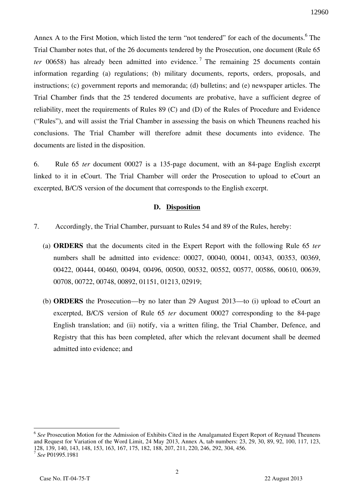Annex A to the First Motion, which listed the term "not tendered" for each of the documents.<sup>6</sup> The Trial Chamber notes that, of the 26 documents tendered by the Prosecution, one document (Rule 65 *ter* 00658) has already been admitted into evidence.<sup>7</sup> The remaining 25 documents contain information regarding (a) regulations; (b) military documents, reports, orders, proposals, and instructions; (c) government reports and memoranda; (d) bulletins; and (e) newspaper articles. The Trial Chamber finds that the 25 tendered documents are probative, have a sufficient degree of reliability, meet the requirements of Rules 89 (C) and (D) of the Rules of Procedure and Evidence ("Rules"), and will assist the Trial Chamber in assessing the basis on which Theunens reached his conclusions. The Trial Chamber will therefore admit these documents into evidence. The documents are listed in the disposition.

6. Rule 65 *ter* document 00027 is a 135-page document, with an 84-page English excerpt linked to it in eCourt. The Trial Chamber will order the Prosecution to upload to eCourt an excerpted, B/C/S version of the document that corresponds to the English excerpt.

#### **D. Disposition**

- 7. Accordingly, the Trial Chamber, pursuant to Rules 54 and 89 of the Rules, hereby:
	- (a) **ORDERS** that the documents cited in the Expert Report with the following Rule 65 *ter*  numbers shall be admitted into evidence: 00027, 00040, 00041, 00343, 00353, 00369, 00422, 00444, 00460, 00494, 00496, 00500, 00532, 00552, 00577, 00586, 00610, 00639, 00708, 00722, 00748, 00892, 01151, 01213, 02919;
	- (b) **ORDERS** the Prosecution—by no later than 29 August 2013—to (i) upload to eCourt an excerpted, B/C/S version of Rule 65 *ter* document 00027 corresponding to the 84-page English translation; and (ii) notify, via a written filing, the Trial Chamber, Defence, and Registry that this has been completed, after which the relevant document shall be deemed admitted into evidence; and

 $\overline{a}$ 

<sup>&</sup>lt;sup>6</sup> See Prosecution Motion for the Admission of Exhibits Cited in the Amalgamated Expert Report of Reynaud Theunens and Request for Variation of the Word Limit, 24 May 2013, Annex A, tab numbers: 23, 29, 30, 89, 92, 100, 117, 123, 128, 139, 140, 143, 148, 153, 163, 167, 175, 182, 188, 207, 211, 220, 246, 292, 304, 456.

<sup>7</sup> *See* P01995.1981